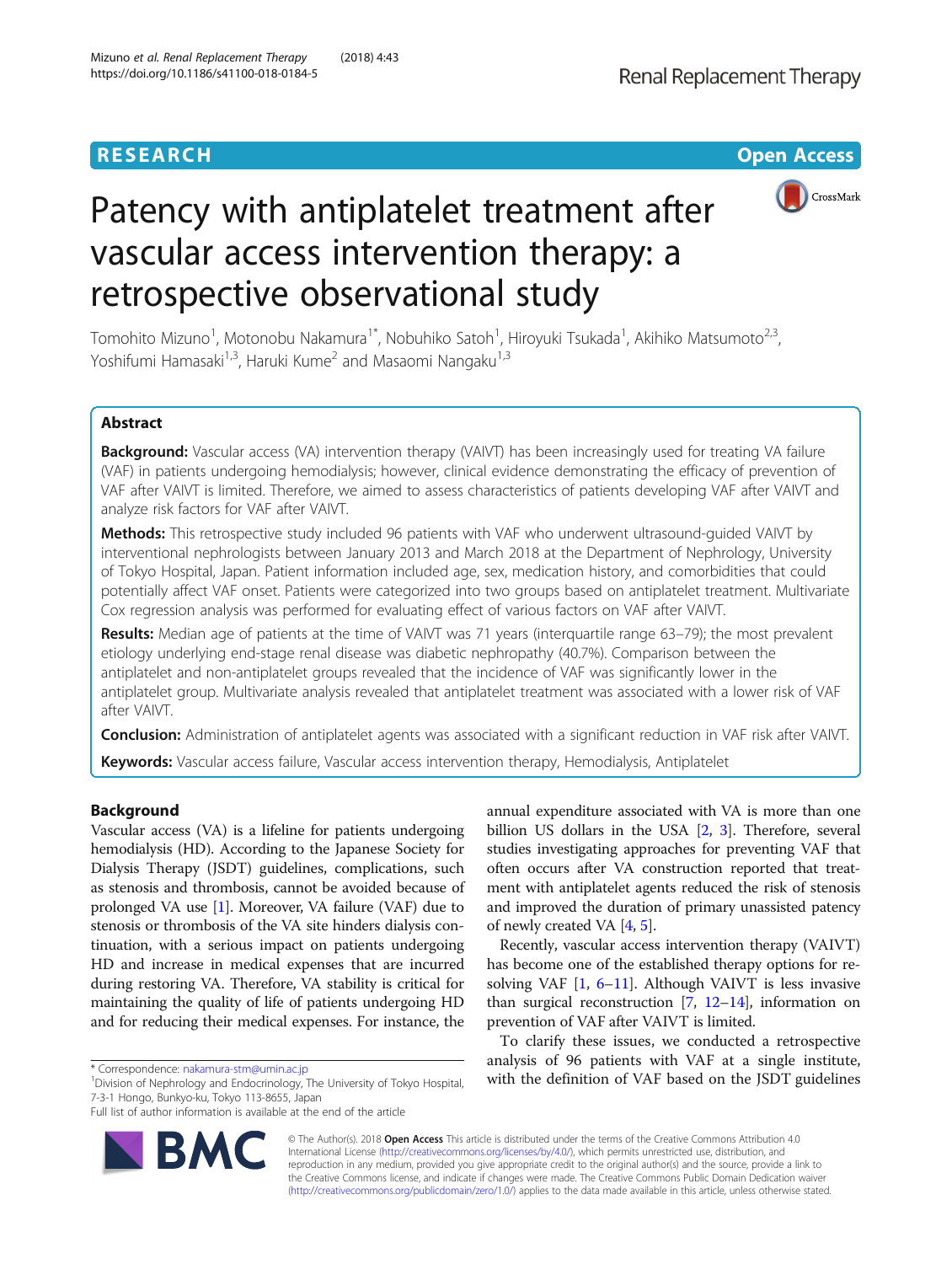**RESEARCH CHINESE ARCH CHINESE ARCHITECT ARCHITECT ARCHITECT ARCHITECT ARCHITECT ARCHITECT ARCHITECT ARCHITECT ARCHITECT ARCHITECT ARCHITECT ARCHITECT ARCHITECT ARCHITECT ARCHITECT ARCHITECT ARCHITECT ARCHITECT ARCHITE** 



# Patency with antiplatelet treatment after vascular access intervention therapy: a retrospective observational study

Tomohito Mizuno<sup>1</sup>, Motonobu Nakamura<sup>1\*</sup>, Nobuhiko Satoh<sup>1</sup>, Hiroyuki Tsukada<sup>1</sup>, Akihiko Matsumoto<sup>2,3</sup>, Yoshifumi Hamasaki<sup>1,3</sup>, Haruki Kume<sup>2</sup> and Masaomi Nangaku<sup>1,3</sup>

# Abstract

Background: Vascular access (VA) intervention therapy (VAIVT) has been increasingly used for treating VA failure (VAF) in patients undergoing hemodialysis; however, clinical evidence demonstrating the efficacy of prevention of VAF after VAIVT is limited. Therefore, we aimed to assess characteristics of patients developing VAF after VAIVT and analyze risk factors for VAF after VAIVT.

Methods: This retrospective study included 96 patients with VAF who underwent ultrasound-quided VAIVT by interventional nephrologists between January 2013 and March 2018 at the Department of Nephrology, University of Tokyo Hospital, Japan. Patient information included age, sex, medication history, and comorbidities that could potentially affect VAF onset. Patients were categorized into two groups based on antiplatelet treatment. Multivariate Cox regression analysis was performed for evaluating effect of various factors on VAF after VAIVT.

Results: Median age of patients at the time of VAIVT was 71 years (interquartile range 63-79); the most prevalent etiology underlying end-stage renal disease was diabetic nephropathy (40.7%). Comparison between the antiplatelet and non-antiplatelet groups revealed that the incidence of VAF was significantly lower in the antiplatelet group. Multivariate analysis revealed that antiplatelet treatment was associated with a lower risk of VAF after VAIVT.

Conclusion: Administration of antiplatelet agents was associated with a significant reduction in VAF risk after VAIVT. Keywords: Vascular access failure, Vascular access intervention therapy, Hemodialysis, Antiplatelet

# Background

Vascular access (VA) is a lifeline for patients undergoing hemodialysis (HD). According to the Japanese Society for Dialysis Therapy (JSDT) guidelines, complications, such as stenosis and thrombosis, cannot be avoided because of prolonged VA use [\[1\]](#page-7-0). Moreover, VA failure (VAF) due to stenosis or thrombosis of the VA site hinders dialysis continuation, with a serious impact on patients undergoing HD and increase in medical expenses that are incurred during restoring VA. Therefore, VA stability is critical for maintaining the quality of life of patients undergoing HD and for reducing their medical expenses. For instance, the

Division of Nephrology and Endocrinology, The University of Tokyo Hospital, 7-3-1 Hongo, Bunkyo-ku, Tokyo 113-8655, Japan

Full list of author information is available at the end of the article



annual expenditure associated with VA is more than one billion US dollars in the USA [\[2,](#page-7-0) [3](#page-7-0)]. Therefore, several studies investigating approaches for preventing VAF that often occurs after VA construction reported that treatment with antiplatelet agents reduced the risk of stenosis and improved the duration of primary unassisted patency of newly created VA [\[4,](#page-7-0) [5\]](#page-7-0).

Recently, vascular access intervention therapy (VAIVT) has become one of the established therapy options for resolving VAF [\[1,](#page-7-0) [6](#page-7-0)–[11\]](#page-8-0). Although VAIVT is less invasive than surgical reconstruction  $[7, 12-14]$  $[7, 12-14]$  $[7, 12-14]$  $[7, 12-14]$  $[7, 12-14]$ , information on prevention of VAF after VAIVT is limited.

To clarify these issues, we conducted a retrospective analysis of 96 patients with VAF at a single institute, \* Correspondence: [nakamura-stm@umin.ac.jp](mailto:nakamura-stm@umin.ac.jp) environment of Tokyo Hospital. With the definition of VAF based on the JSDT guidelines

> © The Author(s). 2018 Open Access This article is distributed under the terms of the Creative Commons Attribution 4.0 International License [\(http://creativecommons.org/licenses/by/4.0/](http://creativecommons.org/licenses/by/4.0/)), which permits unrestricted use, distribution, and reproduction in any medium, provided you give appropriate credit to the original author(s) and the source, provide a link to the Creative Commons license, and indicate if changes were made. The Creative Commons Public Domain Dedication waiver [\(http://creativecommons.org/publicdomain/zero/1.0/](http://creativecommons.org/publicdomain/zero/1.0/)) applies to the data made available in this article, unless otherwise stated.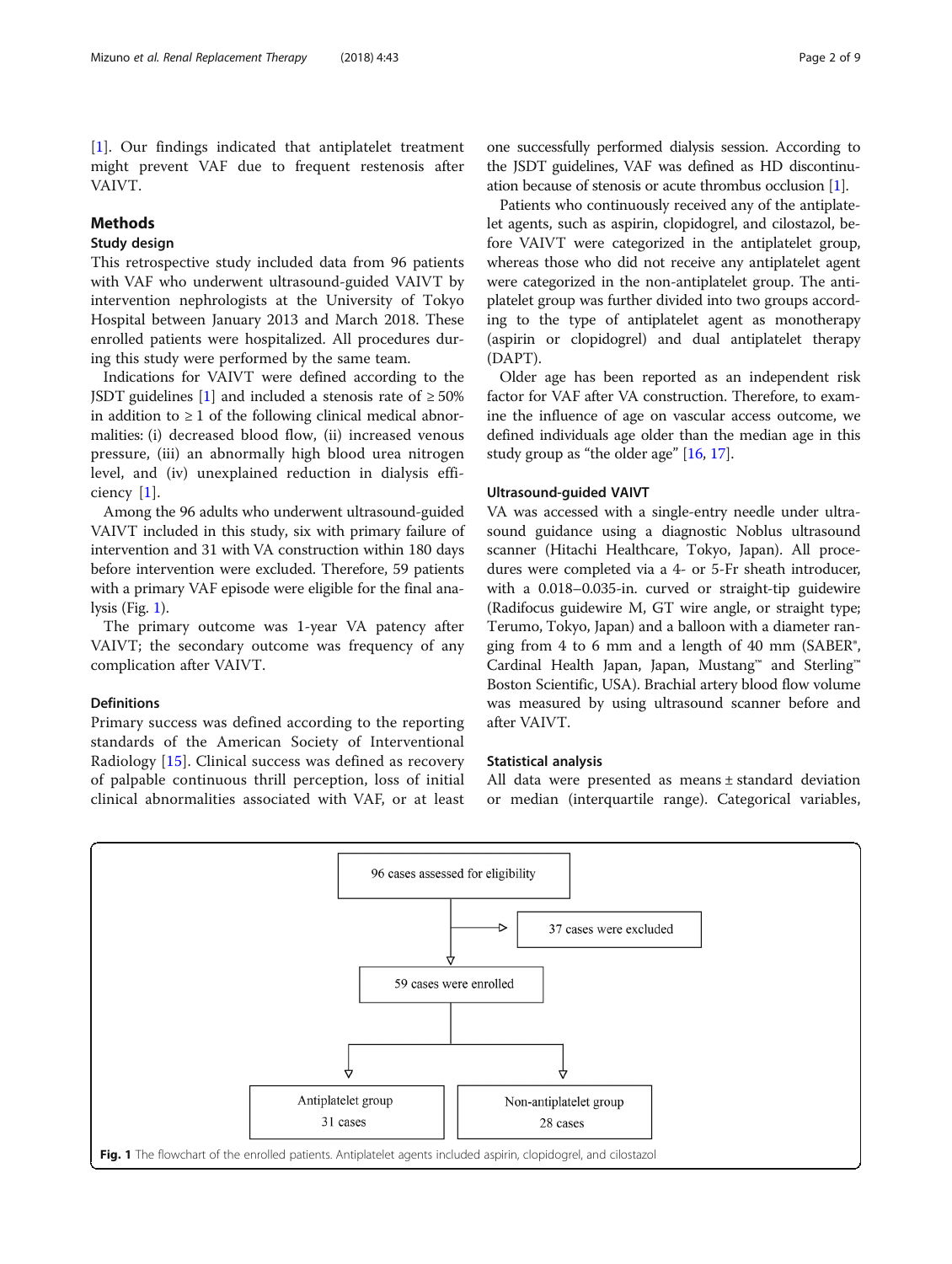[[1\]](#page-7-0). Our findings indicated that antiplatelet treatment might prevent VAF due to frequent restenosis after VAIVT.

# Methods

# Study design

This retrospective study included data from 96 patients with VAF who underwent ultrasound-guided VAIVT by intervention nephrologists at the University of Tokyo Hospital between January 2013 and March 2018. These enrolled patients were hospitalized. All procedures during this study were performed by the same team.

Indications for VAIVT were defined according to the JSDT guidelines [\[1\]](#page-7-0) and included a stenosis rate of  $\geq 50\%$ in addition to  $\geq 1$  of the following clinical medical abnormalities: (i) decreased blood flow, (ii) increased venous pressure, (iii) an abnormally high blood urea nitrogen level, and (iv) unexplained reduction in dialysis efficiency [[1\]](#page-7-0).

Among the 96 adults who underwent ultrasound-guided VAIVT included in this study, six with primary failure of intervention and 31 with VA construction within 180 days before intervention were excluded. Therefore, 59 patients with a primary VAF episode were eligible for the final analysis (Fig. 1).

The primary outcome was 1-year VA patency after VAIVT; the secondary outcome was frequency of any complication after VAIVT.

#### Definitions

Primary success was defined according to the reporting standards of the American Society of Interventional Radiology [[15](#page-8-0)]. Clinical success was defined as recovery of palpable continuous thrill perception, loss of initial clinical abnormalities associated with VAF, or at least

one successfully performed dialysis session. According to the JSDT guidelines, VAF was defined as HD discontinuation because of stenosis or acute thrombus occlusion [\[1](#page-7-0)].

Patients who continuously received any of the antiplatelet agents, such as aspirin, clopidogrel, and cilostazol, before VAIVT were categorized in the antiplatelet group, whereas those who did not receive any antiplatelet agent were categorized in the non-antiplatelet group. The antiplatelet group was further divided into two groups according to the type of antiplatelet agent as monotherapy (aspirin or clopidogrel) and dual antiplatelet therapy (DAPT).

Older age has been reported as an independent risk factor for VAF after VA construction. Therefore, to examine the influence of age on vascular access outcome, we defined individuals age older than the median age in this study group as "the older age" [\[16,](#page-8-0) [17](#page-8-0)].

#### Ultrasound-guided VAIVT

VA was accessed with a single-entry needle under ultrasound guidance using a diagnostic Noblus ultrasound scanner (Hitachi Healthcare, Tokyo, Japan). All procedures were completed via a 4- or 5-Fr sheath introducer, with a 0.018–0.035-in. curved or straight-tip guidewire (Radifocus guidewire M, GT wire angle, or straight type; Terumo, Tokyo, Japan) and a balloon with a diameter ranging from 4 to 6 mm and a length of 40 mm (SABER®, Cardinal Health Japan, Japan, Mustang™ and Sterling™ Boston Scientific, USA). Brachial artery blood flow volume was measured by using ultrasound scanner before and after VAIVT.

### Statistical analysis

All data were presented as means ± standard deviation or median (interquartile range). Categorical variables,

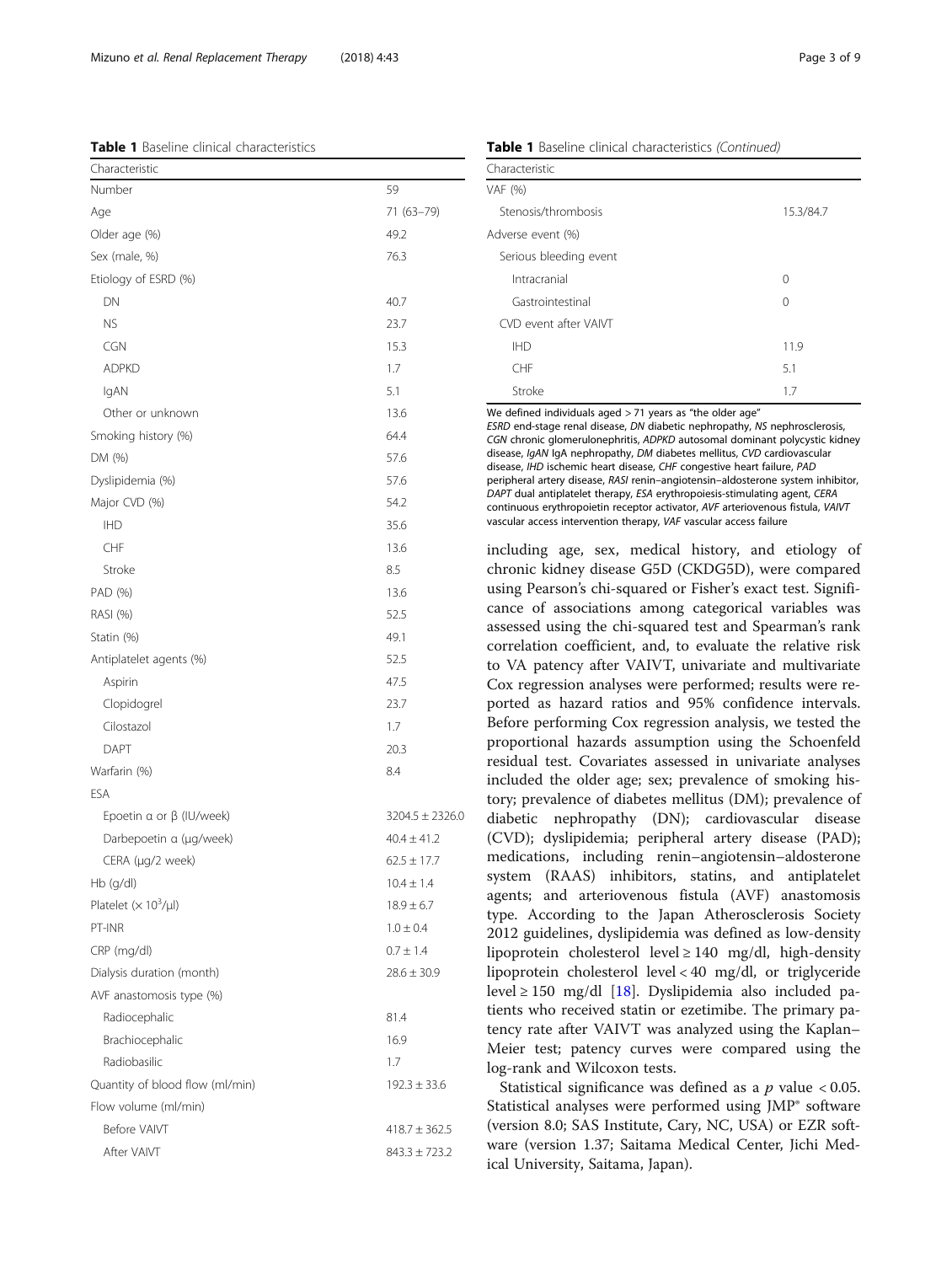We defined individuals aged  $> 71$  years as "the older age" ESRD end-stage renal disease, DN diabetic nephropathy, NS nephrosclerosis, disease, IgAN IgA nephropathy, DM diabetes mellitus, CVD cardiovascular disease, IHD ischemic heart disease, CHF congestive heart failure, PAD DAPT dual antiplatelet therapy, ESA erythropoiesis-stimulating agent, CERA continuous erythropoietin receptor activator, AVF arteriovenous fistula, VAIVT

including age, sex, medical history, and etiology of chronic kidney disease G5D (CKDG5D), were compared using Pearson's chi-squared or Fisher's exact test. Significance of associations among categorical variables was assessed using the chi-squared test and Spearman's rank correlation coefficient, and, to evaluate the relative risk to VA patency after VAIVT, univariate and multivariate Cox regression analyses were performed; results were reported as hazard ratios and 95% confidence intervals. Before performing Cox regression analysis, we tested the proportional hazards assumption using the Schoenfeld residual test. Covariates assessed in univariate analyses included the older age; sex; prevalence of smoking history; prevalence of diabetes mellitus (DM); prevalence of diabetic nephropathy (DN); cardiovascular disease (CVD); dyslipidemia; peripheral artery disease (PAD); medications, including renin–angiotensin–aldosterone system (RAAS) inhibitors, statins, and antiplatelet agents; and arteriovenous fistula (AVF) anastomosis type. According to the Japan Atherosclerosis Society 2012 guidelines, dyslipidemia was defined as low-density lipoprotein cholesterol level  $\geq 140$  mg/dl, high-density lipoprotein cholesterol level < 40 mg/dl, or triglyceride level ≥ 150 mg/dl [\[18](#page-8-0)]. Dyslipidemia also included patients who received statin or ezetimibe. The primary patency rate after VAIVT was analyzed using the Kaplan– Meier test; patency curves were compared using the log-rank and Wilcoxon tests.

Statistical significance was defined as a  $p$  value < 0.05. Statistical analyses were performed using JMP® software (version 8.0; SAS Institute, Cary, NC, USA) or EZR software (version 1.37; Saitama Medical Center, Jichi Medical University, Saitama, Japan).

# <span id="page-2-0"></span>Table 1 Baseline clinical characteristics

| Characteristic                        |                     |
|---------------------------------------|---------------------|
| Number                                | 59                  |
| Age                                   | 71 (63-79)          |
| Older age (%)                         | 49.2                |
| Sex (male, %)                         | 76.3                |
| Etiology of ESRD (%)                  |                     |
| DN                                    | 40.7                |
| <b>NS</b>                             | 23.7                |
| <b>CGN</b>                            | 15.3                |
| <b>ADPKD</b>                          | 1.7                 |
| IgAN                                  | 5.1                 |
| Other or unknown                      | 13.6                |
| Smoking history (%)                   | 64.4                |
| DM (%)                                | 57.6                |
| Dyslipidemia (%)                      | 57.6                |
| Major CVD (%)                         | 54.2                |
| <b>IHD</b>                            | 35.6                |
| CHF                                   | 13.6                |
| Stroke                                | 8.5                 |
| PAD (%)                               | 13.6                |
| RASI (%)                              | 52.5                |
| Statin (%)                            | 49.1                |
| Antiplatelet agents (%)               | 52.5                |
| Aspirin                               | 47.5                |
| Clopidogrel                           | 23.7                |
| Cilostazol                            | 1.7                 |
| DAPT                                  | 20.3                |
| Warfarin (%)                          | 8.4                 |
| ESA                                   |                     |
| Epoetin $\alpha$ or $\beta$ (IU/week) | $3204.5 \pm 2326.0$ |
| Darbepoetin a (µg/week)               | $40.4 \pm 41.2$     |
| CERA (µg/2 week)                      | $62.5 \pm 17.7$     |
| Hb (g/dl)                             | $10.4 \pm 1.4$      |
| Platelet $(x 10^3/\mu l)$             | $18.9 \pm 6.7$      |
| PT-INR                                | $1.0 \pm 0.4$       |
| CRP (mg/dl)                           | $0.7 \pm 1.4$       |
| Dialysis duration (month)             | $28.6 \pm 30.9$     |
| AVF anastomosis type (%)              |                     |
| Radiocephalic                         | 81.4                |
| Brachiocephalic                       | 16.9                |
| Radiobasilic                          | 1.7                 |
| Quantity of blood flow (ml/min)       | $192.3 \pm 33.6$    |
| Flow volume (ml/min)                  |                     |
| Before VAIVT                          | $418.7 \pm 362.5$   |
| After VAIVT                           | $843.3 \pm 723.2$   |

Table 1 Baseline clinical characteristics (Continued)

| Characteristic         |           |
|------------------------|-----------|
| VAF (%)                |           |
| Stenosis/thrombosis    | 15.3/84.7 |
| Adverse event (%)      |           |
| Serious bleeding event |           |
| Intracranial           | $\Omega$  |
| Gastrointestinal       | $\Omega$  |
| CVD event after VAIVT  |           |
| <b>IHD</b>             | 11.9      |
| CHF                    | 5.1       |
| Stroke                 | 1.7       |

CGN chronic glomerulonephritis, ADPKD autosomal dominant polycystic kidney peripheral artery disease, RASI renin–angiotensin–aldosterone system inhibitor, vascular access intervention therapy, VAF vascular access failure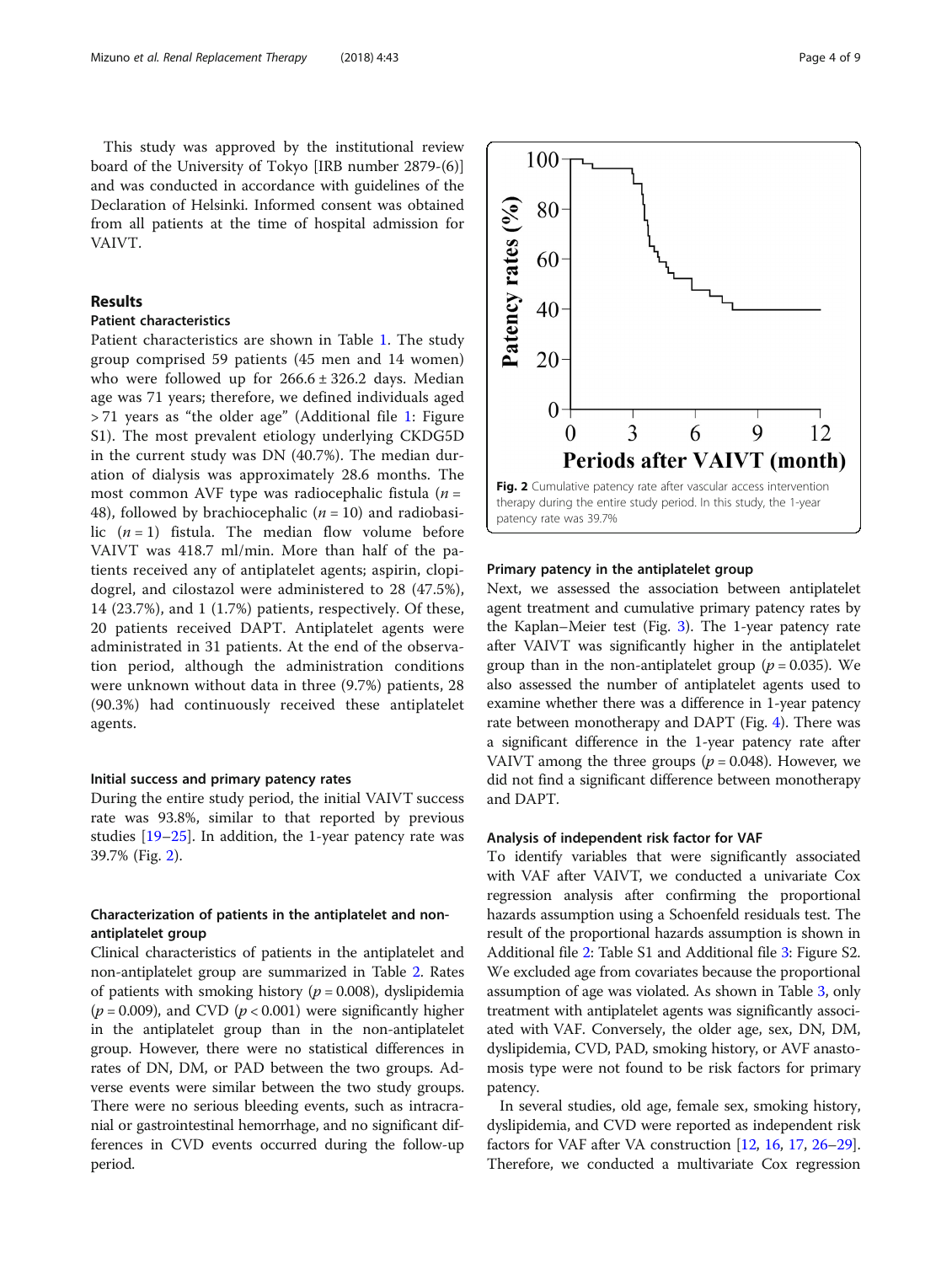<span id="page-3-0"></span>This study was approved by the institutional review board of the University of Tokyo [IRB number 2879-(6)] and was conducted in accordance with guidelines of the Declaration of Helsinki. Informed consent was obtained from all patients at the time of hospital admission for VAIVT.

# Results

# Patient characteristics

Patient characteristics are shown in Table [1](#page-2-0). The study group comprised 59 patients (45 men and 14 women) who were followed up for  $266.6 \pm 326.2$  days. Median age was 71 years; therefore, we defined individuals aged > 71 years as "the older age" (Additional file [1:](#page-7-0) Figure S1). The most prevalent etiology underlying CKDG5D in the current study was DN (40.7%). The median duration of dialysis was approximately 28.6 months. The most common AVF type was radiocephalic fistula  $(n =$ 48), followed by brachiocephalic  $(n = 10)$  and radiobasilic  $(n = 1)$  fistula. The median flow volume before VAIVT was 418.7 ml/min. More than half of the patients received any of antiplatelet agents; aspirin, clopidogrel, and cilostazol were administered to 28 (47.5%), 14 (23.7%), and 1 (1.7%) patients, respectively. Of these, 20 patients received DAPT. Antiplatelet agents were administrated in 31 patients. At the end of the observation period, although the administration conditions were unknown without data in three (9.7%) patients, 28 (90.3%) had continuously received these antiplatelet agents.

#### Initial success and primary patency rates

During the entire study period, the initial VAIVT success rate was 93.8%, similar to that reported by previous studies [\[19](#page-8-0)–[25](#page-8-0)]. In addition, the 1-year patency rate was 39.7% (Fig. 2).

# Characterization of patients in the antiplatelet and nonantiplatelet group

Clinical characteristics of patients in the antiplatelet and non-antiplatelet group are summarized in Table [2.](#page-4-0) Rates of patients with smoking history ( $p = 0.008$ ), dyslipidemia  $(p = 0.009)$ , and CVD  $(p < 0.001)$  were significantly higher in the antiplatelet group than in the non-antiplatelet group. However, there were no statistical differences in rates of DN, DM, or PAD between the two groups. Adverse events were similar between the two study groups. There were no serious bleeding events, such as intracranial or gastrointestinal hemorrhage, and no significant differences in CVD events occurred during the follow-up period.



#### Primary patency in the antiplatelet group

Next, we assessed the association between antiplatelet agent treatment and cumulative primary patency rates by the Kaplan–Meier test (Fig. [3\)](#page-5-0). The 1-year patency rate after VAIVT was significantly higher in the antiplatelet group than in the non-antiplatelet group ( $p = 0.035$ ). We also assessed the number of antiplatelet agents used to examine whether there was a difference in 1-year patency rate between monotherapy and DAPT (Fig. [4](#page-5-0)). There was a significant difference in the 1-year patency rate after VAIVT among the three groups ( $p = 0.048$ ). However, we did not find a significant difference between monotherapy and DAPT.

#### Analysis of independent risk factor for VAF

To identify variables that were significantly associated with VAF after VAIVT, we conducted a univariate Cox regression analysis after confirming the proportional hazards assumption using a Schoenfeld residuals test. The result of the proportional hazards assumption is shown in Additional file [2](#page-7-0): Table S1 and Additional file [3:](#page-7-0) Figure S2. We excluded age from covariates because the proportional assumption of age was violated. As shown in Table [3](#page-6-0), only treatment with antiplatelet agents was significantly associated with VAF. Conversely, the older age, sex, DN, DM, dyslipidemia, CVD, PAD, smoking history, or AVF anastomosis type were not found to be risk factors for primary patency.

In several studies, old age, female sex, smoking history, dyslipidemia, and CVD were reported as independent risk factors for VAF after VA construction [[12](#page-8-0), [16](#page-8-0), [17](#page-8-0), [26](#page-8-0)–[29](#page-8-0)]. Therefore, we conducted a multivariate Cox regression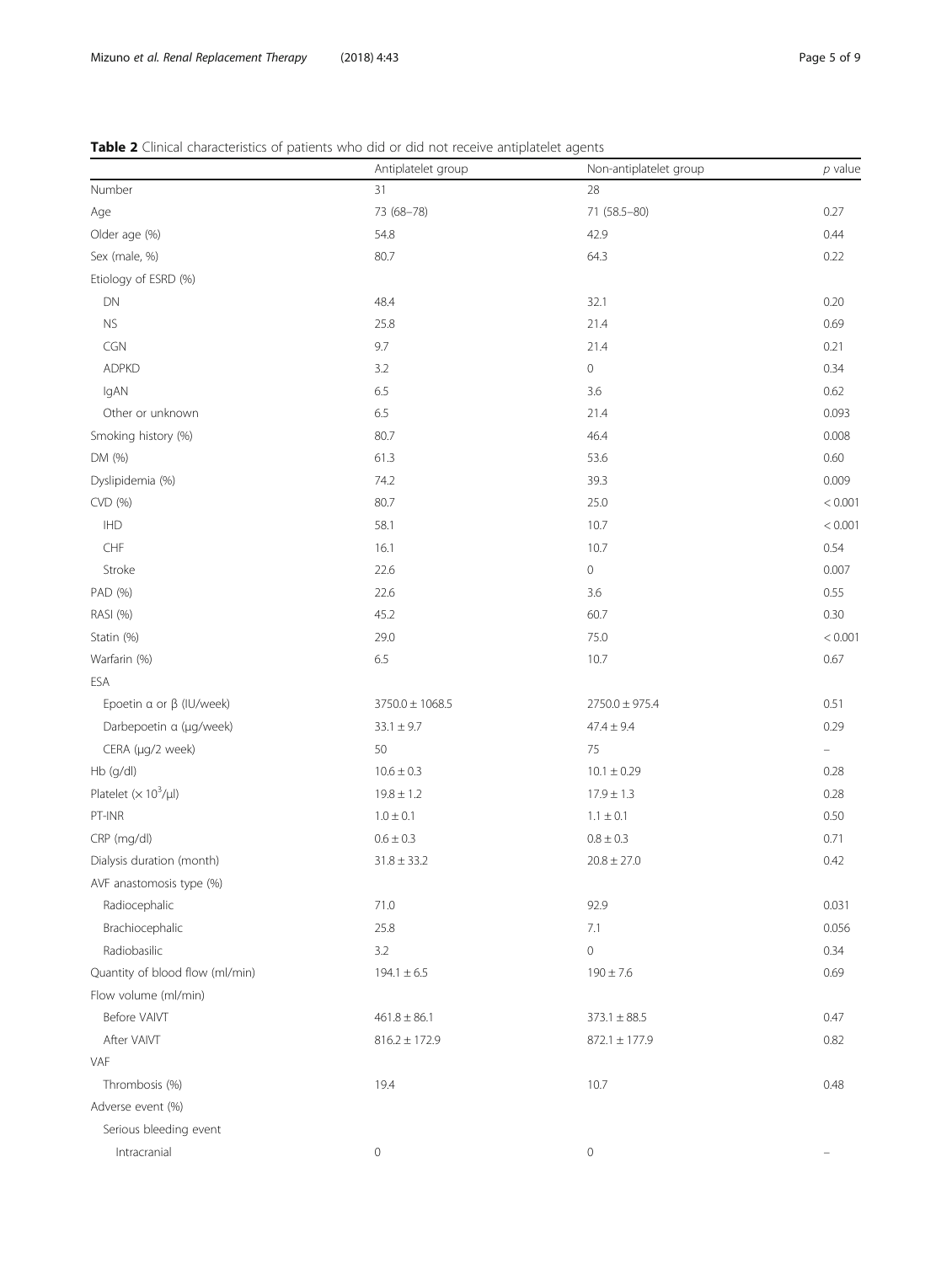# <span id="page-4-0"></span>Table 2 Clinical characteristics of patients who did or did not receive antiplatelet agents

|                                       | Antiplatelet group  | Non-antiplatelet group | $p$ value |
|---------------------------------------|---------------------|------------------------|-----------|
| Number                                | 31                  | 28                     |           |
| Age                                   | 73 (68-78)          | 71 (58.5-80)           | 0.27      |
| Older age (%)                         | 54.8                | 42.9                   | 0.44      |
| Sex (male, %)                         | 80.7                | 64.3                   | 0.22      |
| Etiology of ESRD (%)                  |                     |                        |           |
| DN                                    | 48.4                | 32.1                   | 0.20      |
| <b>NS</b>                             | 25.8                | 21.4                   | 0.69      |
| CGN                                   | 9.7                 | 21.4                   | 0.21      |
| <b>ADPKD</b>                          | 3.2                 | $\mathsf{O}$           | 0.34      |
| IgAN                                  | 6.5                 | 3.6                    | 0.62      |
| Other or unknown                      | 6.5                 | 21.4                   | 0.093     |
| Smoking history (%)                   | 80.7                | 46.4                   | 0.008     |
| DM (%)                                | 61.3                | 53.6                   | 0.60      |
| Dyslipidemia (%)                      | 74.2                | 39.3                   | 0.009     |
| CVD (%)                               | 80.7                | 25.0                   | < 0.001   |
| $\mathsf{I}\mathsf{H}\mathsf{D}$      | 58.1                | 10.7                   | < 0.001   |
| ${\sf CHF}$                           | 16.1                | 10.7                   | 0.54      |
| Stroke                                | 22.6                | $\mathsf{O}\xspace$    | 0.007     |
| PAD (%)                               | 22.6                | 3.6                    | 0.55      |
| RASI (%)                              | 45.2                | 60.7                   | 0.30      |
| Statin (%)                            | 29.0                | 75.0                   | < 0.001   |
| Warfarin (%)                          | 6.5                 | 10.7                   | 0.67      |
| ESA                                   |                     |                        |           |
| Epoetin $\alpha$ or $\beta$ (IU/week) | $3750.0 \pm 1068.5$ | $2750.0 \pm 975.4$     | 0.51      |
| Darbepoetin a (µg/week)               | $33.1 \pm 9.7$      | $47.4 \pm 9.4$         | 0.29      |
| CERA (µg/2 week)                      | 50                  | 75                     | ÷         |
| Hb (g/dl)                             | $10.6 \pm 0.3$      | $10.1 \pm 0.29$        | 0.28      |
| Platelet $(\times 10^3/\mu l)$        | $19.8 \pm 1.2$      | $17.9 \pm 1.3$         | 0.28      |
| PT-INR                                | $1.0 \pm 0.1$       | $1.1 \pm 0.1$          | $0.50\,$  |
| CRP (mg/dl)                           | $0.6\pm0.3$         | $0.8 \pm 0.3$          | 0.71      |
| Dialysis duration (month)             | $31.8 \pm 33.2$     | $20.8 \pm 27.0$        | 0.42      |
| AVF anastomosis type (%)              |                     |                        |           |
| Radiocephalic                         | 71.0                | 92.9                   | 0.031     |
| Brachiocephalic                       | 25.8                | 7.1                    | 0.056     |
| Radiobasilic                          | 3.2                 | $\mathsf{O}\xspace$    | 0.34      |
| Quantity of blood flow (ml/min)       | $194.1 \pm 6.5$     | $190 \pm 7.6$          | 0.69      |
| Flow volume (ml/min)                  |                     |                        |           |
| Before VAIVT                          | $461.8 \pm 86.1$    | $373.1 \pm 88.5$       | 0.47      |
| After VAIVT                           | $816.2 \pm 172.9$   | $872.1 \pm 177.9$      | 0.82      |
| VAF                                   |                     |                        |           |
| Thrombosis (%)                        | 19.4                | 10.7                   | 0.48      |
| Adverse event (%)                     |                     |                        |           |
| Serious bleeding event                |                     |                        |           |
| Intracranial                          | $\mathsf{O}\xspace$ | $\mathsf{O}$           |           |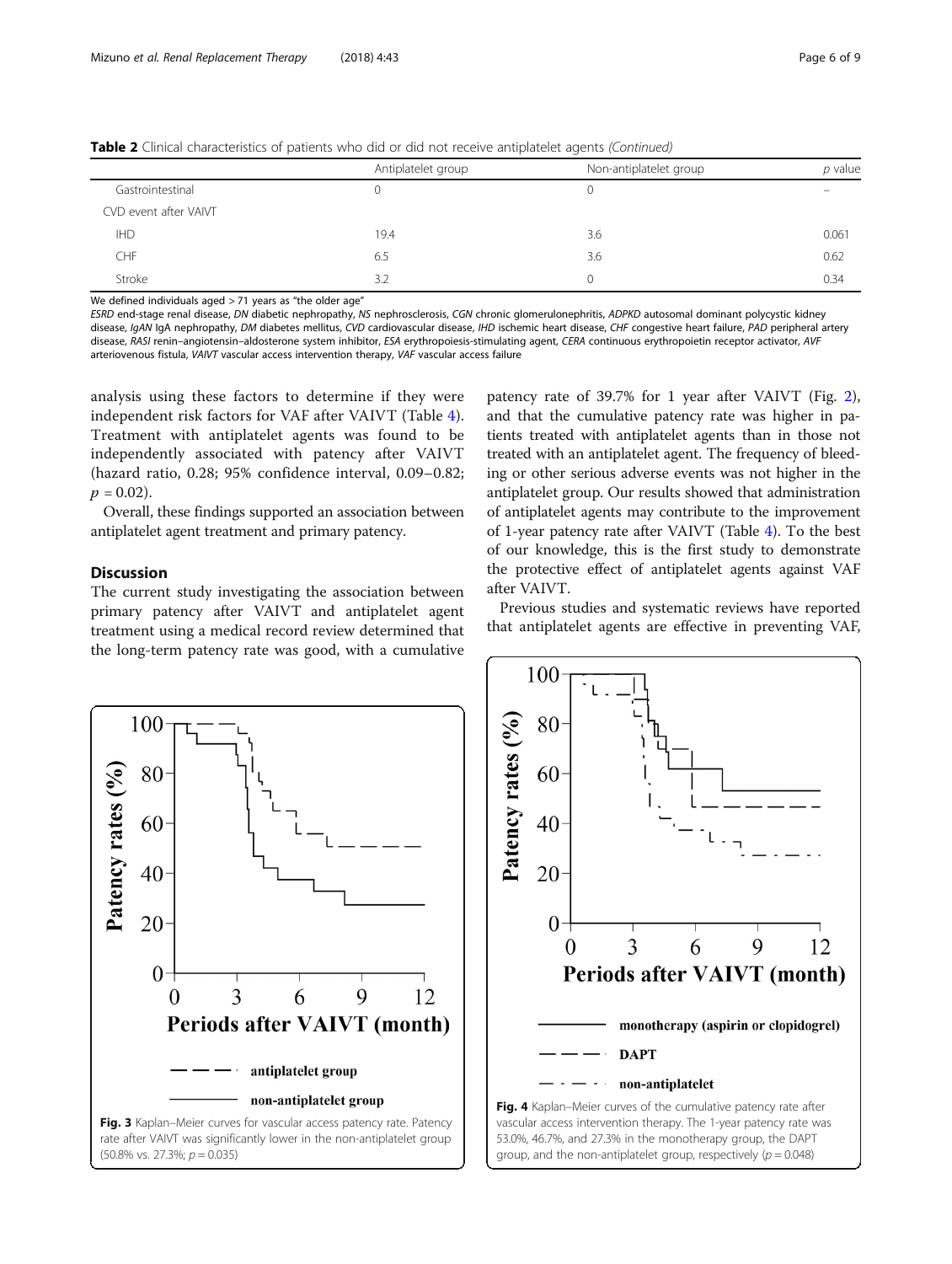|                       | Antiplatelet group | Non-antiplatelet group | p value |
|-----------------------|--------------------|------------------------|---------|
| Gastrointestinal      |                    | U                      |         |
| CVD event after VAIVT |                    |                        |         |
| <b>IHD</b>            | 19.4               | 3.6                    | 0.061   |
| CHF                   | 6.5                | 3.6                    | 0.62    |
| Stroke                | 3.2                | 0                      | 0.34    |

<span id="page-5-0"></span>Table 2 Clinical characteristics of patients who did or did not receive antiplatelet agents (Continued)

We defined individuals aged  $>$  71 years as "the older age"

ESRD end-stage renal disease, DN diabetic nephropathy, NS nephrosclerosis, CGN chronic glomerulonephritis, ADPKD autosomal dominant polycystic kidney disease, IgAN IgA nephropathy, DM diabetes mellitus, CVD cardiovascular disease, IHD ischemic heart disease, CHF congestive heart failure, PAD peripheral artery disease, RASI renin-angiotensin-aldosterone system inhibitor, ESA erythropoiesis-stimulating agent, CERA continuous erythropoietin receptor activator, AVF arteriovenous fistula, VAIVT vascular access intervention therapy, VAF vascular access failure

analysis using these factors to determine if they were independent risk factors for VAF after VAIVT (Table [4](#page-6-0)). Treatment with antiplatelet agents was found to be independently associated with patency after VAIVT (hazard ratio, 0.28; 95% confidence interval, 0.09–0.82;  $p = 0.02$ ).

Overall, these findings supported an association between antiplatelet agent treatment and primary patency.

# **Discussion**

The current study investigating the association between primary patency after VAIVT and antiplatelet agent treatment using a medical record review determined that the long-term patency rate was good, with a cumulative

patency rate of 39.7% for 1 year after VAIVT (Fig. [2](#page-3-0)), and that the cumulative patency rate was higher in patients treated with antiplatelet agents than in those not treated with an antiplatelet agent. The frequency of bleeding or other serious adverse events was not higher in the antiplatelet group. Our results showed that administration of antiplatelet agents may contribute to the improvement of 1-year patency rate after VAIVT (Table [4](#page-6-0)). To the best of our knowledge, this is the first study to demonstrate the protective effect of antiplatelet agents against VAF after VAIVT.

Previous studies and systematic reviews have reported that antiplatelet agents are effective in preventing VAF,





53.0%, 46.7%, and 27.3% in the monotherapy group, the DAPT group, and the non-antiplatelet group, respectively  $(p = 0.048)$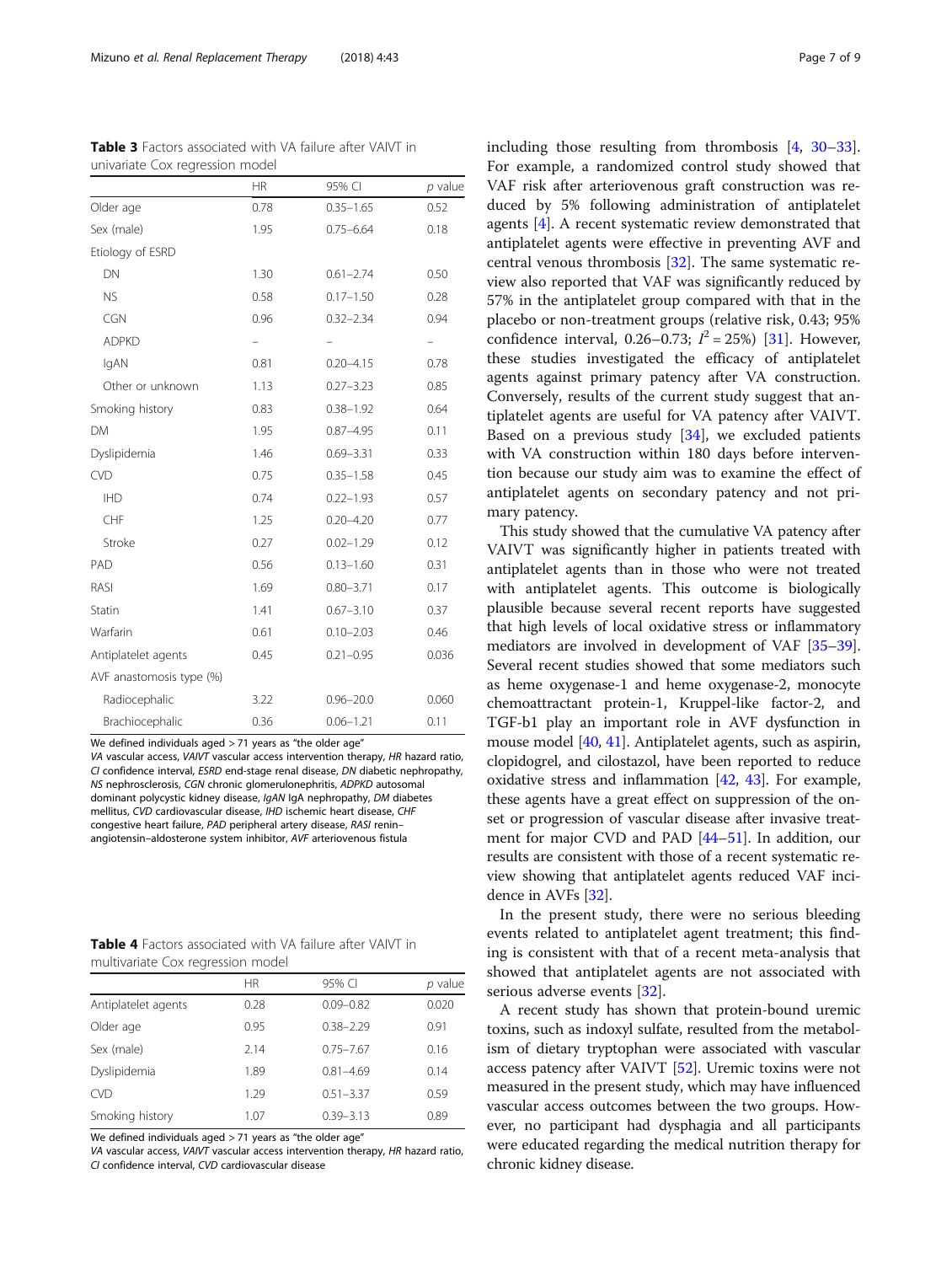| univariate COX regression model |           |               |                   |
|---------------------------------|-----------|---------------|-------------------|
|                                 | <b>HR</b> | 95% CI        | $p$ value         |
| Older age                       | 0.78      | $0.35 - 1.65$ | 0.52              |
| Sex (male)                      | 1.95      | $0.75 - 6.64$ | 0.18              |
| Etiology of ESRD                |           |               |                   |
| DN                              | 1.30      | $0.61 - 2.74$ | 0.50              |
| <b>NS</b>                       | 0.58      | $0.17 - 1.50$ | 0.28              |
| CGN                             | 0.96      | $0.32 - 2.34$ | 0.94              |
| <b>ADPKD</b>                    |           |               | $\qquad \qquad -$ |
| IgAN                            | 0.81      | $0.20 - 4.15$ | 0.78              |
| Other or unknown                | 1.13      | $0.27 - 3.23$ | 0.85              |
| Smoking history                 | 0.83      | $0.38 - 1.92$ | 0.64              |
| <b>DM</b>                       | 1.95      | $0.87 - 4.95$ | 0.11              |
| Dyslipidemia                    | 1.46      | $0.69 - 3.31$ | 0.33              |
| <b>CVD</b>                      | 0.75      | $0.35 - 1.58$ | 0.45              |
| <b>IHD</b>                      | 0.74      | $0.22 - 1.93$ | 0.57              |
| CHF                             | 1.25      | $0.20 - 4.20$ | 0.77              |
| Stroke                          | 0.27      | $0.02 - 1.29$ | 0.12              |
| PAD                             | 0.56      | $0.13 - 1.60$ | 0.31              |
| RASI                            | 1.69      | $0.80 - 3.71$ | 0.17              |
| Statin                          | 1.41      | $0.67 - 3.10$ | 0.37              |
| Warfarin                        | 0.61      | $0.10 - 2.03$ | 0.46              |
| Antiplatelet agents             | 0.45      | $0.21 - 0.95$ | 0.036             |
| AVF anastomosis type (%)        |           |               |                   |
| Radiocephalic                   | 3.22      | $0.96 - 20.0$ | 0.060             |
| Brachiocephalic                 | 0.36      | $0.06 - 1.21$ | 0.11              |

<span id="page-6-0"></span>Table 3 Factors associated with VA failure after VAIVT in univariate Cox regression model

We defined individuals aged > 71 years as "the older age"

VA vascular access, VAIVT vascular access intervention therapy, HR hazard ratio, CI confidence interval, ESRD end-stage renal disease, DN diabetic nephropathy, NS nephrosclerosis, CGN chronic glomerulonephritis, ADPKD autosomal dominant polycystic kidney disease, IgAN IgA nephropathy, DM diabetes mellitus, CVD cardiovascular disease, IHD ischemic heart disease, CHF congestive heart failure, PAD peripheral artery disease, RASI renin– angiotensin–aldosterone system inhibitor, AVF arteriovenous fistula

| <b>Table 4</b> Factors associated with VA failure after VAIVT in |  |  |  |
|------------------------------------------------------------------|--|--|--|
| multivariate Cox regression model                                |  |  |  |

|                     | <b>HR</b> | 95% CI        | p value |
|---------------------|-----------|---------------|---------|
| Antiplatelet agents | 0.28      | $0.09 - 0.82$ | 0.020   |
| Older age           | 0.95      | $0.38 - 2.29$ | 0.91    |
| Sex (male)          | 2.14      | $0.75 - 7.67$ | 0.16    |
| Dyslipidemia        | 1.89      | $0.81 - 4.69$ | 0.14    |
| <b>CVD</b>          | 1.29      | $0.51 - 3.37$ | 0.59    |
| Smoking history     | 1.07      | $0.39 - 3.13$ | 0.89    |

We defined individuals aged > 71 years as "the older age"

VA vascular access, VAIVT vascular access intervention therapy, HR hazard ratio, CI confidence interval, CVD cardiovascular disease

including those resulting from thrombosis [\[4](#page-7-0), [30](#page-8-0)–[33](#page-8-0)]. For example, a randomized control study showed that VAF risk after arteriovenous graft construction was reduced by 5% following administration of antiplatelet agents [[4\]](#page-7-0). A recent systematic review demonstrated that antiplatelet agents were effective in preventing AVF and central venous thrombosis [[32\]](#page-8-0). The same systematic review also reported that VAF was significantly reduced by 57% in the antiplatelet group compared with that in the placebo or non-treatment groups (relative risk, 0.43; 95% confidence interval, 0.26–0.73;  $I^2 = 25\%$ ) [[31\]](#page-8-0). However, these studies investigated the efficacy of antiplatelet agents against primary patency after VA construction. Conversely, results of the current study suggest that antiplatelet agents are useful for VA patency after VAIVT. Based on a previous study [[34](#page-8-0)], we excluded patients with VA construction within 180 days before intervention because our study aim was to examine the effect of antiplatelet agents on secondary patency and not primary patency.

This study showed that the cumulative VA patency after VAIVT was significantly higher in patients treated with antiplatelet agents than in those who were not treated with antiplatelet agents. This outcome is biologically plausible because several recent reports have suggested that high levels of local oxidative stress or inflammatory mediators are involved in development of VAF [\[35](#page-8-0)–[39](#page-8-0)]. Several recent studies showed that some mediators such as heme oxygenase-1 and heme oxygenase-2, monocyte chemoattractant protein-1, Kruppel-like factor-2, and TGF-b1 play an important role in AVF dysfunction in mouse model [[40](#page-8-0), [41\]](#page-8-0). Antiplatelet agents, such as aspirin, clopidogrel, and cilostazol, have been reported to reduce oxidative stress and inflammation [[42](#page-8-0), [43](#page-8-0)]. For example, these agents have a great effect on suppression of the onset or progression of vascular disease after invasive treatment for major CVD and PAD [[44](#page-8-0)–[51\]](#page-8-0). In addition, our results are consistent with those of a recent systematic review showing that antiplatelet agents reduced VAF incidence in AVFs [\[32\]](#page-8-0).

In the present study, there were no serious bleeding events related to antiplatelet agent treatment; this finding is consistent with that of a recent meta-analysis that showed that antiplatelet agents are not associated with serious adverse events [[32](#page-8-0)].

A recent study has shown that protein-bound uremic toxins, such as indoxyl sulfate, resulted from the metabolism of dietary tryptophan were associated with vascular access patency after VAIVT [[52\]](#page-8-0). Uremic toxins were not measured in the present study, which may have influenced vascular access outcomes between the two groups. However, no participant had dysphagia and all participants were educated regarding the medical nutrition therapy for chronic kidney disease.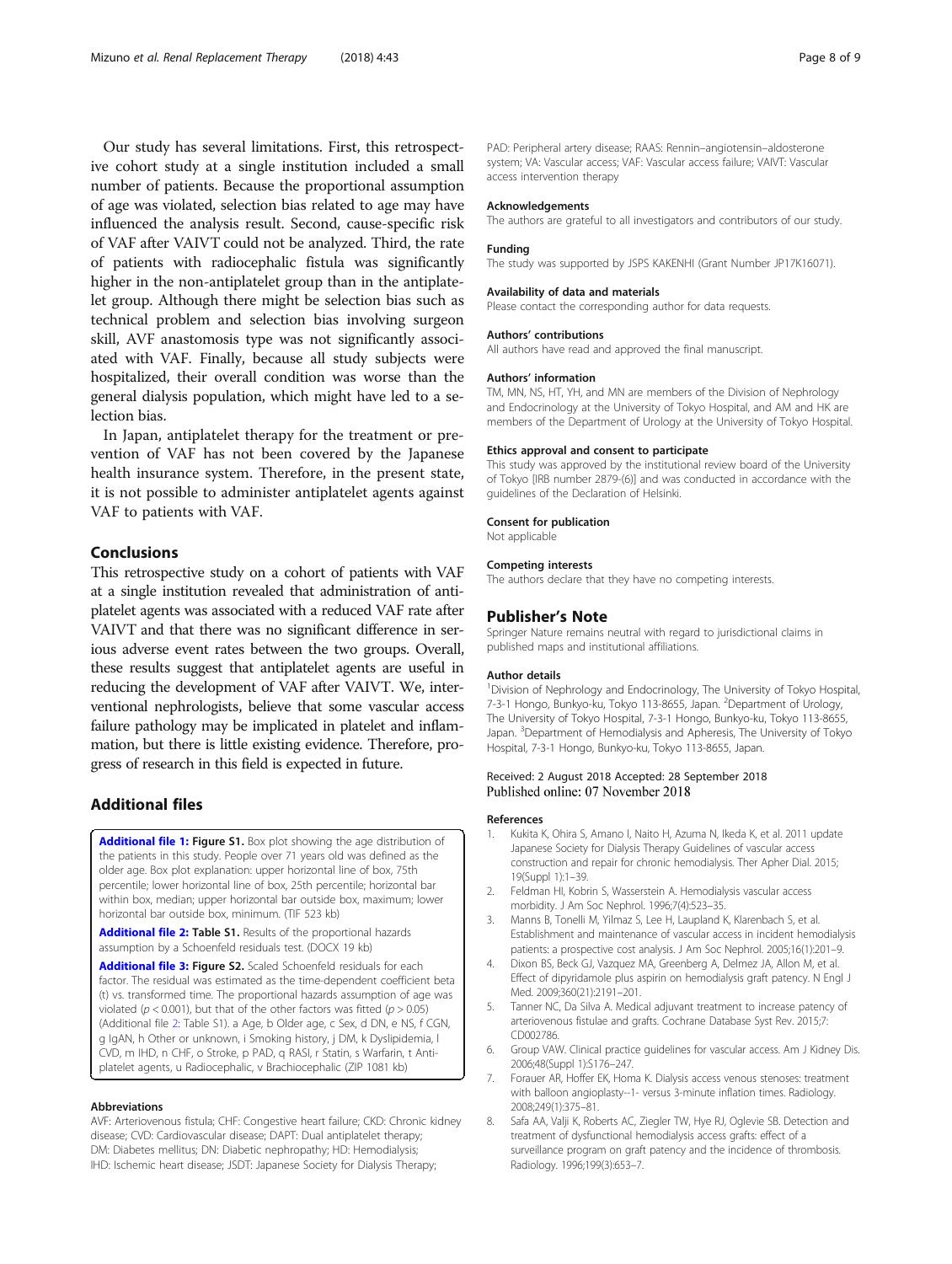<span id="page-7-0"></span>Our study has several limitations. First, this retrospective cohort study at a single institution included a small number of patients. Because the proportional assumption of age was violated, selection bias related to age may have influenced the analysis result. Second, cause-specific risk of VAF after VAIVT could not be analyzed. Third, the rate of patients with radiocephalic fistula was significantly higher in the non-antiplatelet group than in the antiplatelet group. Although there might be selection bias such as technical problem and selection bias involving surgeon skill, AVF anastomosis type was not significantly associated with VAF. Finally, because all study subjects were hospitalized, their overall condition was worse than the general dialysis population, which might have led to a selection bias.

In Japan, antiplatelet therapy for the treatment or prevention of VAF has not been covered by the Japanese health insurance system. Therefore, in the present state, it is not possible to administer antiplatelet agents against VAF to patients with VAF.

## Conclusions

This retrospective study on a cohort of patients with VAF at a single institution revealed that administration of antiplatelet agents was associated with a reduced VAF rate after VAIVT and that there was no significant difference in serious adverse event rates between the two groups. Overall, these results suggest that antiplatelet agents are useful in reducing the development of VAF after VAIVT. We, interventional nephrologists, believe that some vascular access failure pathology may be implicated in platelet and inflammation, but there is little existing evidence. Therefore, progress of research in this field is expected in future.

## Additional files

[Additional file 1:](https://doi.org/10.1186/s41100-018-0184-5) Figure S1. Box plot showing the age distribution of the patients in this study. People over 71 years old was defined as the older age. Box plot explanation: upper horizontal line of box, 75th percentile; lower horizontal line of box, 25th percentile; horizontal bar within box, median; upper horizontal bar outside box, maximum; lower horizontal bar outside box, minimum. (TIF 523 kb)

[Additional file 2:](https://doi.org/10.1186/s41100-018-0184-5) Table S1. Results of the proportional hazards assumption by a Schoenfeld residuals test. (DOCX 19 kb)

[Additional file 3:](https://doi.org/10.1186/s41100-018-0184-5) Figure S2. Scaled Schoenfeld residuals for each factor. The residual was estimated as the time-dependent coefficient beta (t) vs. transformed time. The proportional hazards assumption of age was violated ( $p < 0.001$ ), but that of the other factors was fitted ( $p > 0.05$ ) (Additional file 2: Table S1). a Age, b Older age, c Sex, d DN, e NS, f CGN, g IgAN, h Other or unknown, i Smoking history, j DM, k Dyslipidemia, l CVD, m IHD, n CHF, o Stroke, p PAD, q RASI, r Statin, s Warfarin, t Antiplatelet agents, u Radiocephalic, v Brachiocephalic (ZIP 1081 kb)

#### Abbreviations

AVF: Arteriovenous fistula; CHF: Congestive heart failure; CKD: Chronic kidney disease; CVD: Cardiovascular disease; DAPT: Dual antiplatelet therapy; DM: Diabetes mellitus; DN: Diabetic nephropathy; HD: Hemodialysis; IHD: Ischemic heart disease; JSDT: Japanese Society for Dialysis Therapy;

PAD: Peripheral artery disease; RAAS: Rennin–angiotensin–aldosterone system; VA: Vascular access; VAF: Vascular access failure; VAIVT: Vascular access intervention therapy

#### Acknowledgements

The authors are grateful to all investigators and contributors of our study.

#### Funding

The study was supported by JSPS KAKENHI (Grant Number JP17K16071).

#### Availability of data and materials

Please contact the corresponding author for data requests.

#### Authors' contributions

All authors have read and approved the final manuscript.

#### Authors' information

TM, MN, NS, HT, YH, and MN are members of the Division of Nephrology and Endocrinology at the University of Tokyo Hospital, and AM and HK are members of the Department of Urology at the University of Tokyo Hospital.

#### Ethics approval and consent to participate

This study was approved by the institutional review board of the University of Tokyo [IRB number 2879-(6)] and was conducted in accordance with the guidelines of the Declaration of Helsinki.

#### Consent for publication

Not applicable

#### Competing interests

The authors declare that they have no competing interests.

#### Publisher's Note

Springer Nature remains neutral with regard to jurisdictional claims in published maps and institutional affiliations.

#### Author details

<sup>1</sup> Division of Nephrology and Endocrinology, The University of Tokyo Hospital, 7-3-1 Hongo, Bunkyo-ku, Tokyo 113-8655, Japan. <sup>2</sup>Department of Urology, The University of Tokyo Hospital, 7-3-1 Hongo, Bunkyo-ku, Tokyo 113-8655, Japan. <sup>3</sup> Department of Hemodialysis and Apheresis, The University of Tokyc Hospital, 7-3-1 Hongo, Bunkyo-ku, Tokyo 113-8655, Japan.

#### Received: 2 August 2018 Accepted: 28 September 2018 Published online: 07 November 2018

#### References

- Kukita K, Ohira S, Amano I, Naito H, Azuma N, Ikeda K, et al. 2011 update Japanese Society for Dialysis Therapy Guidelines of vascular access construction and repair for chronic hemodialysis. Ther Apher Dial. 2015; 19(Suppl 1):1–39.
- 2. Feldman HI, Kobrin S, Wasserstein A. Hemodialysis vascular access morbidity. J Am Soc Nephrol. 1996;7(4):523–35.
- 3. Manns B, Tonelli M, Yilmaz S, Lee H, Laupland K, Klarenbach S, et al. Establishment and maintenance of vascular access in incident hemodialysis patients: a prospective cost analysis. J Am Soc Nephrol. 2005;16(1):201–9.
- 4. Dixon BS, Beck GJ, Vazquez MA, Greenberg A, Delmez JA, Allon M, et al. Effect of dipyridamole plus aspirin on hemodialysis graft patency. N Engl J Med. 2009;360(21):2191–201.
- 5. Tanner NC, Da Silva A. Medical adjuvant treatment to increase patency of arteriovenous fistulae and grafts. Cochrane Database Syst Rev. 2015;7: CD002786.
- 6. Group VAW. Clinical practice guidelines for vascular access. Am J Kidney Dis. 2006;48(Suppl 1):S176–247.
- 7. Forauer AR, Hoffer EK, Homa K. Dialysis access venous stenoses: treatment with balloon angioplasty--1- versus 3-minute inflation times. Radiology. 2008;249(1):375–81.
- 8. Safa AA, Valji K, Roberts AC, Ziegler TW, Hye RJ, Oglevie SB. Detection and treatment of dysfunctional hemodialysis access grafts: effect of a surveillance program on graft patency and the incidence of thrombosis. Radiology. 1996;199(3):653–7.